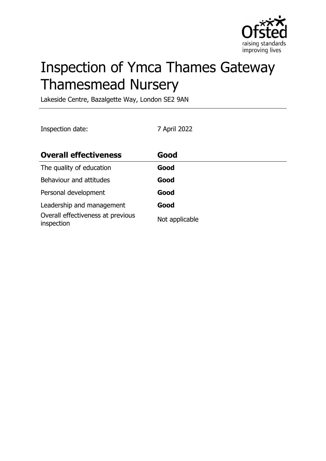

# Inspection of Ymca Thames Gateway Thamesmead Nursery

Lakeside Centre, Bazalgette Way, London SE2 9AN

Inspection date: 7 April 2022

| <b>Overall effectiveness</b>                    | Good           |
|-------------------------------------------------|----------------|
| The quality of education                        | Good           |
| Behaviour and attitudes                         | Good           |
| Personal development                            | Good           |
| Leadership and management                       | Good           |
| Overall effectiveness at previous<br>inspection | Not applicable |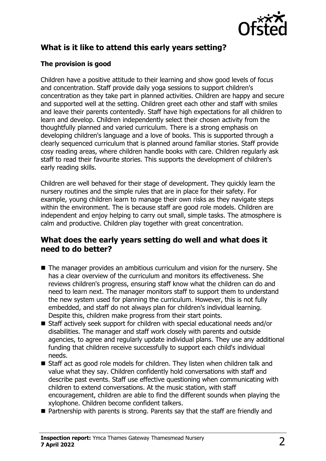

# **What is it like to attend this early years setting?**

## **The provision is good**

Children have a positive attitude to their learning and show good levels of focus and concentration. Staff provide daily yoga sessions to support children's concentration as they take part in planned activities. Children are happy and secure and supported well at the setting. Children greet each other and staff with smiles and leave their parents contentedly. Staff have high expectations for all children to learn and develop. Children independently select their chosen activity from the thoughtfully planned and varied curriculum. There is a strong emphasis on developing children's language and a love of books. This is supported through a clearly sequenced curriculum that is planned around familiar stories. Staff provide cosy reading areas, where children handle books with care. Children regularly ask staff to read their favourite stories. This supports the development of children's early reading skills.

Children are well behaved for their stage of development. They quickly learn the nursery routines and the simple rules that are in place for their safety. For example, young children learn to manage their own risks as they navigate steps within the environment. The is because staff are good role models. Children are independent and enjoy helping to carry out small, simple tasks. The atmosphere is calm and productive. Children play together with great concentration.

## **What does the early years setting do well and what does it need to do better?**

- $\blacksquare$  The manager provides an ambitious curriculum and vision for the nursery. She has a clear overview of the curriculum and monitors its effectiveness. She reviews children's progress, ensuring staff know what the children can do and need to learn next. The manager monitors staff to support them to understand the new system used for planning the curriculum. However, this is not fully embedded, and staff do not always plan for children's individual learning. Despite this, children make progress from their start points.
- $\blacksquare$  Staff actively seek support for children with special educational needs and/or disabilities. The manager and staff work closely with parents and outside agencies, to agree and regularly update individual plans. They use any additional funding that children receive successfully to support each child's individual needs.
- $\blacksquare$  Staff act as good role models for children. They listen when children talk and value what they say. Children confidently hold conversations with staff and describe past events. Staff use effective questioning when communicating with children to extend conversations. At the music station, with staff encouragement, children are able to find the different sounds when playing the xylophone. Children become confident talkers.
- $\blacksquare$  Partnership with parents is strong. Parents say that the staff are friendly and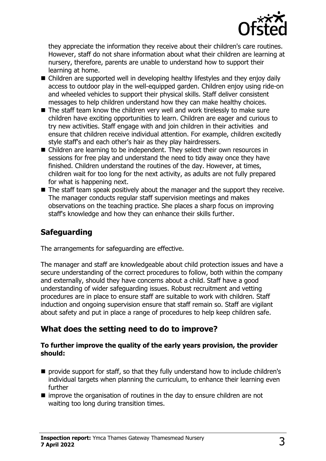

they appreciate the information they receive about their children's care routines. However, staff do not share information about what their children are learning at nursery, therefore, parents are unable to understand how to support their learning at home.

- $\blacksquare$  Children are supported well in developing healthy lifestyles and they enjoy daily access to outdoor play in the well-equipped garden. Children enjoy using ride-on and wheeled vehicles to support their physical skills. Staff deliver consistent messages to help children understand how they can make healthy choices.
- $\blacksquare$  The staff team know the children very well and work tirelessly to make sure children have exciting opportunities to learn. Children are eager and curious to try new activities. Staff engage with and join children in their activities and ensure that children receive individual attention. For example, children excitedly style staff's and each other's hair as they play hairdressers.
- Children are learning to be independent. They select their own resources in sessions for free play and understand the need to tidy away once they have finished. Children understand the routines of the day. However, at times, children wait for too long for the next activity, as adults are not fully prepared for what is happening next.
- $\blacksquare$  The staff team speak positively about the manager and the support they receive. The manager conducts regular staff supervision meetings and makes observations on the teaching practice. She places a sharp focus on improving staff's knowledge and how they can enhance their skills further.

# **Safeguarding**

The arrangements for safeguarding are effective.

The manager and staff are knowledgeable about child protection issues and have a secure understanding of the correct procedures to follow, both within the company and externally, should they have concerns about a child. Staff have a good understanding of wider safeguarding issues. Robust recruitment and vetting procedures are in place to ensure staff are suitable to work with children. Staff induction and ongoing supervision ensure that staff remain so. Staff are vigilant about safety and put in place a range of procedures to help keep children safe.

# **What does the setting need to do to improve?**

#### **To further improve the quality of the early years provision, the provider should:**

- $\blacksquare$  provide support for staff, so that they fully understand how to include children's individual targets when planning the curriculum, to enhance their learning even further
- $\blacksquare$  improve the organisation of routines in the day to ensure children are not waiting too long during transition times.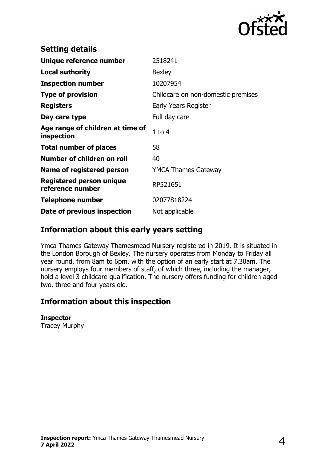

| <b>Setting details</b>                         |                                    |
|------------------------------------------------|------------------------------------|
| Unique reference number                        | 2518241                            |
| <b>Local authority</b>                         | <b>Bexley</b>                      |
| <b>Inspection number</b>                       | 10207954                           |
| <b>Type of provision</b>                       | Childcare on non-domestic premises |
| <b>Registers</b>                               | Early Years Register               |
| Day care type                                  | Full day care                      |
| Age range of children at time of<br>inspection | $1$ to $4$                         |
| <b>Total number of places</b>                  | 58                                 |
| Number of children on roll                     | 40                                 |
| Name of registered person                      | <b>YMCA Thames Gateway</b>         |
| Registered person unique<br>reference number   | RP521651                           |
| <b>Telephone number</b>                        | 02077818224                        |
| Date of previous inspection                    | Not applicable                     |

## **Information about this early years setting**

Ymca Thames Gateway Thamesmead Nursery registered in 2019. It is situated in the London Borough of Bexley. The nursery operates from Monday to Friday all year round, from 8am to 6pm, with the option of an early start at 7.30am. The nursery employs four members of staff, of which three, including the manager, hold a level 3 childcare qualification. The nursery offers funding for children aged two, three and four years old.

## **Information about this inspection**

#### **Inspector**

Tracey Murphy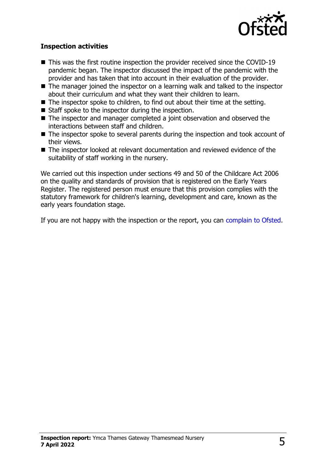

### **Inspection activities**

- $\blacksquare$  This was the first routine inspection the provider received since the COVID-19 pandemic began. The inspector discussed the impact of the pandemic with the provider and has taken that into account in their evaluation of the provider.
- $\blacksquare$  The manager joined the inspector on a learning walk and talked to the inspector about their curriculum and what they want their children to learn.
- $\blacksquare$  The inspector spoke to children, to find out about their time at the setting.
- $\blacksquare$  Staff spoke to the inspector during the inspection.
- $\blacksquare$  The inspector and manager completed a joint observation and observed the interactions between staff and children.
- $\blacksquare$  The inspector spoke to several parents during the inspection and took account of their views.
- $\blacksquare$  The inspector looked at relevant documentation and reviewed evidence of the suitability of staff working in the nursery.

We carried out this inspection under sections 49 and 50 of the Childcare Act 2006 on the quality and standards of provision that is registered on the Early Years Register. The registered person must ensure that this provision complies with the statutory framework for children's learning, development and care, known as the early years foundation stage.

If you are not happy with the inspection or the report, you can [complain to Ofsted](http://www.gov.uk/complain-ofsted-report).